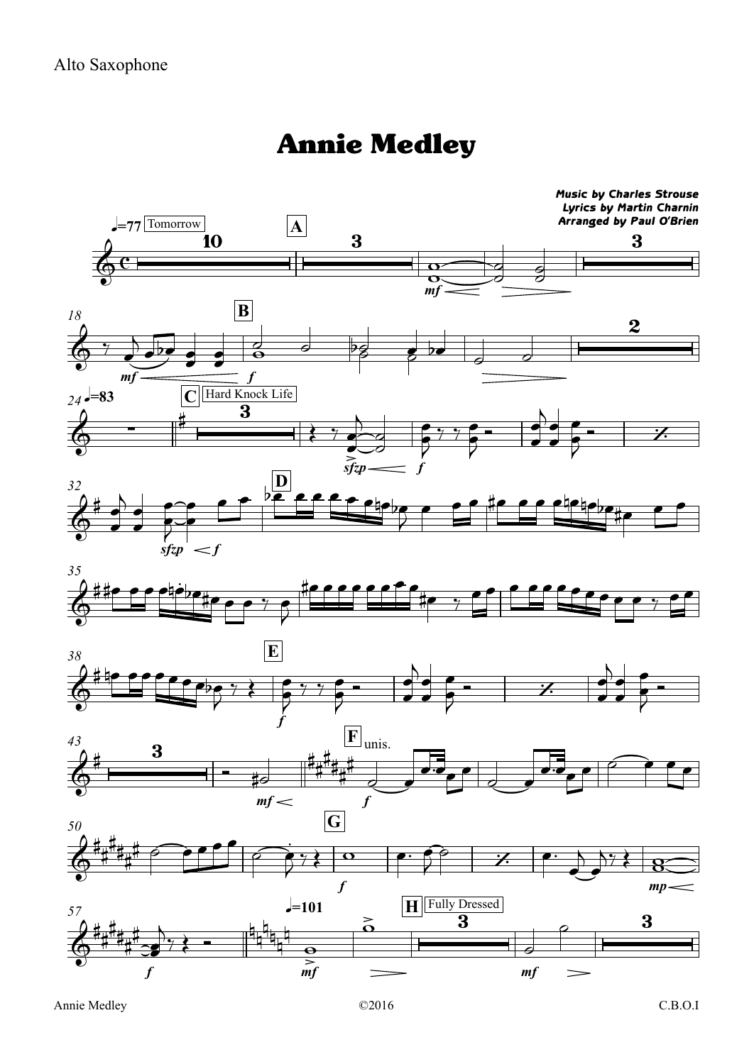## Annie Medley